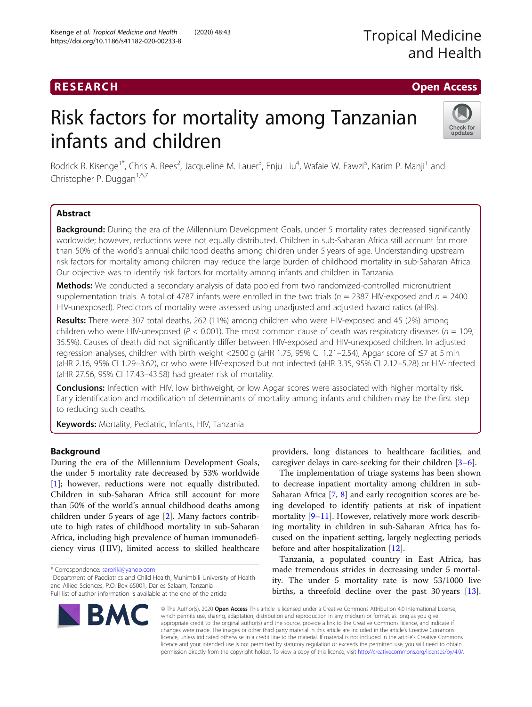## RESEARCH **RESEARCH CHOOSE ACCESS**

# Risk factors for mortality among Tanzanian infants and children



Rodrick R. Kisenge<sup>1\*</sup>, Chris A. Rees<sup>2</sup>, Jacqueline M. Lauer<sup>3</sup>, Enju Liu<sup>4</sup>, Wafaie W. Fawzi<sup>5</sup>, Karim P. Manji<sup>1</sup> and Christopher P. Duggan<sup>1,6,7</sup>

## Abstract

Background: During the era of the Millennium Development Goals, under 5 mortality rates decreased significantly worldwide; however, reductions were not equally distributed. Children in sub-Saharan Africa still account for more than 50% of the world's annual childhood deaths among children under 5 years of age. Understanding upstream risk factors for mortality among children may reduce the large burden of childhood mortality in sub-Saharan Africa. Our objective was to identify risk factors for mortality among infants and children in Tanzania.

Methods: We conducted a secondary analysis of data pooled from two randomized-controlled micronutrient supplementation trials. A total of 4787 infants were enrolled in the two trials ( $n = 2387$  HIV-exposed and  $n = 2400$ HIV-unexposed). Predictors of mortality were assessed using unadjusted and adjusted hazard ratios (aHRs).

Results: There were 307 total deaths, 262 (11%) among children who were HIV-exposed and 45 (2%) among children who were HIV-unexposed ( $P < 0.001$ ). The most common cause of death was respiratory diseases ( $n = 109$ , 35.5%). Causes of death did not significantly differ between HIV-exposed and HIV-unexposed children. In adjusted regression analyses, children with birth weight <2500 g (aHR 1.75, 95% CI 1.21–2.54), Apgar score of ≤7 at 5 min (aHR 2.16, 95% CI 1.29–3.62), or who were HIV-exposed but not infected (aHR 3.35, 95% CI 2.12–5.28) or HIV-infected (aHR 27.56, 95% CI 17.43–43.58) had greater risk of mortality.

**Conclusions:** Infection with HIV, low birthweight, or low Apgar scores were associated with higher mortality risk. Early identification and modification of determinants of mortality among infants and children may be the first step to reducing such deaths.

Keywords: Mortality, Pediatric, Infants, HIV, Tanzania

## Background

During the era of the Millennium Development Goals, the under 5 mortality rate decreased by 53% worldwide [[1\]](#page-8-0); however, reductions were not equally distributed. Children in sub-Saharan Africa still account for more than 50% of the world's annual childhood deaths among children under 5 years of age [\[2](#page-8-0)]. Many factors contribute to high rates of childhood mortality in sub-Saharan Africa, including high prevalence of human immunodeficiency virus (HIV), limited access to skilled healthcare

<sup>&</sup>lt;sup>1</sup> Department of Paediatrics and Child Health, Muhimbili University of Health and Allied Sciences, P.O. Box 65001, Dar es Salaam, Tanzania Full list of author information is available at the end of the article



providers, long distances to healthcare facilities, and caregiver delays in care-seeking for their children [[3](#page-8-0)–[6\]](#page-8-0).

The implementation of triage systems has been shown to decrease inpatient mortality among children in sub-Saharan Africa [\[7](#page-8-0), [8](#page-8-0)] and early recognition scores are being developed to identify patients at risk of inpatient mortality [\[9](#page-8-0)–[11\]](#page-8-0). However, relatively more work describing mortality in children in sub-Saharan Africa has focused on the inpatient setting, largely neglecting periods before and after hospitalization [\[12](#page-8-0)].

Tanzania, a populated country in East Africa, has made tremendous strides in decreasing under 5 mortality. The under 5 mortality rate is now 53/1000 live births, a threefold decline over the past 30 years [\[13](#page-8-0)].

© The Author(s). 2020 Open Access This article is licensed under a Creative Commons Attribution 4.0 International License, which permits use, sharing, adaptation, distribution and reproduction in any medium or format, as long as you give appropriate credit to the original author(s) and the source, provide a link to the Creative Commons licence, and indicate if changes were made. The images or other third party material in this article are included in the article's Creative Commons licence, unless indicated otherwise in a credit line to the material. If material is not included in the article's Creative Commons licence and your intended use is not permitted by statutory regulation or exceeds the permitted use, you will need to obtain permission directly from the copyright holder. To view a copy of this licence, visit [http://creativecommons.org/licenses/by/4.0/.](http://creativecommons.org/licenses/by/4.0/)

<sup>\*</sup> Correspondence: [saroriki@yahoo.com](mailto:saroriki@yahoo.com) <sup>1</sup>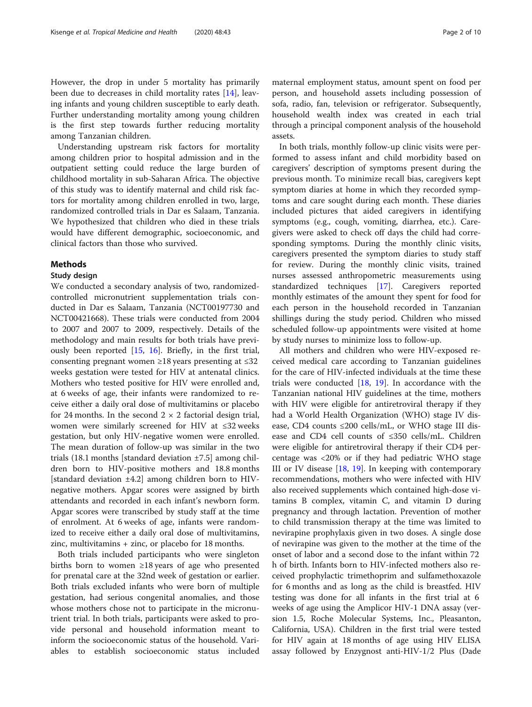However, the drop in under 5 mortality has primarily been due to decreases in child mortality rates [[14](#page-8-0)], leaving infants and young children susceptible to early death. Further understanding mortality among young children is the first step towards further reducing mortality among Tanzanian children.

Understanding upstream risk factors for mortality among children prior to hospital admission and in the outpatient setting could reduce the large burden of childhood mortality in sub-Saharan Africa. The objective of this study was to identify maternal and child risk factors for mortality among children enrolled in two, large, randomized controlled trials in Dar es Salaam, Tanzania. We hypothesized that children who died in these trials would have different demographic, socioeconomic, and clinical factors than those who survived.

### Methods

#### Study design

We conducted a secondary analysis of two, randomizedcontrolled micronutrient supplementation trials conducted in Dar es Salaam, Tanzania (NCT00197730 and NCT00421668). These trials were conducted from 2004 to 2007 and 2007 to 2009, respectively. Details of the methodology and main results for both trials have previously been reported [[15,](#page-8-0) [16\]](#page-8-0). Briefly, in the first trial, consenting pregnant women ≥18 years presenting at ≤32 weeks gestation were tested for HIV at antenatal clinics. Mothers who tested positive for HIV were enrolled and, at 6 weeks of age, their infants were randomized to receive either a daily oral dose of multivitamins or placebo for 24 months. In the second  $2 \times 2$  factorial design trial, women were similarly screened for HIV at ≤32 weeks gestation, but only HIV-negative women were enrolled. The mean duration of follow-up was similar in the two trials (18.1 months [standard deviation ±7.5] among children born to HIV-positive mothers and 18.8 months [standard deviation ±4.2] among children born to HIVnegative mothers. Apgar scores were assigned by birth attendants and recorded in each infant's newborn form. Apgar scores were transcribed by study staff at the time of enrolment. At 6 weeks of age, infants were randomized to receive either a daily oral dose of multivitamins, zinc, multivitamins + zinc, or placebo for 18 months.

Both trials included participants who were singleton births born to women ≥18 years of age who presented for prenatal care at the 32nd week of gestation or earlier. Both trials excluded infants who were born of multiple gestation, had serious congenital anomalies, and those whose mothers chose not to participate in the micronutrient trial. In both trials, participants were asked to provide personal and household information meant to inform the socioeconomic status of the household. Variables to establish socioeconomic status included

maternal employment status, amount spent on food per person, and household assets including possession of sofa, radio, fan, television or refrigerator. Subsequently, household wealth index was created in each trial through a principal component analysis of the household assets.

In both trials, monthly follow-up clinic visits were performed to assess infant and child morbidity based on caregivers' description of symptoms present during the previous month. To minimize recall bias, caregivers kept symptom diaries at home in which they recorded symptoms and care sought during each month. These diaries included pictures that aided caregivers in identifying symptoms (e.g., cough, vomiting, diarrhea, etc.). Caregivers were asked to check off days the child had corresponding symptoms. During the monthly clinic visits, caregivers presented the symptom diaries to study staff for review. During the monthly clinic visits, trained nurses assessed anthropometric measurements using standardized techniques [[17\]](#page-8-0). Caregivers reported monthly estimates of the amount they spent for food for each person in the household recorded in Tanzanian shillings during the study period. Children who missed scheduled follow-up appointments were visited at home by study nurses to minimize loss to follow-up.

All mothers and children who were HIV-exposed received medical care according to Tanzanian guidelines for the care of HIV-infected individuals at the time these trials were conducted [[18](#page-8-0), [19\]](#page-8-0). In accordance with the Tanzanian national HIV guidelines at the time, mothers with HIV were eligible for antiretroviral therapy if they had a World Health Organization (WHO) stage IV disease, CD4 counts  $\leq 200$  cells/mL, or WHO stage III disease and CD4 cell counts of ≤350 cells/mL. Children were eligible for antiretroviral therapy if their CD4 percentage was <20% or if they had pediatric WHO stage III or IV disease  $[18, 19]$  $[18, 19]$  $[18, 19]$  $[18, 19]$  $[18, 19]$ . In keeping with contemporary recommendations, mothers who were infected with HIV also received supplements which contained high-dose vitamins B complex, vitamin C, and vitamin D during pregnancy and through lactation. Prevention of mother to child transmission therapy at the time was limited to nevirapine prophylaxis given in two doses. A single dose of nevirapine was given to the mother at the time of the onset of labor and a second dose to the infant within 72 h of birth. Infants born to HIV-infected mothers also received prophylactic trimethoprim and sulfamethoxazole for 6 months and as long as the child is breastfed. HIV testing was done for all infants in the first trial at 6 weeks of age using the Amplicor HIV-1 DNA assay (version 1.5, Roche Molecular Systems, Inc., Pleasanton, California, USA). Children in the first trial were tested for HIV again at 18 months of age using HIV ELISA assay followed by Enzygnost anti-HIV-1/2 Plus (Dade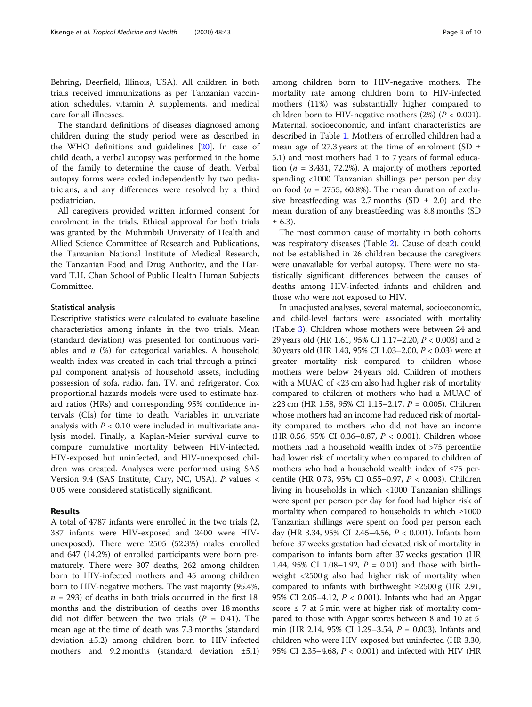Behring, Deerfield, Illinois, USA). All children in both trials received immunizations as per Tanzanian vaccination schedules, vitamin A supplements, and medical care for all illnesses.

The standard definitions of diseases diagnosed among children during the study period were as described in the WHO definitions and guidelines [[20\]](#page-8-0). In case of child death, a verbal autopsy was performed in the home of the family to determine the cause of death. Verbal autopsy forms were coded independently by two pediatricians, and any differences were resolved by a third pediatrician.

All caregivers provided written informed consent for enrolment in the trials. Ethical approval for both trials was granted by the Muhimbili University of Health and Allied Science Committee of Research and Publications, the Tanzanian National Institute of Medical Research, the Tanzanian Food and Drug Authority, and the Harvard T.H. Chan School of Public Health Human Subjects Committee.

#### Statistical analysis

Descriptive statistics were calculated to evaluate baseline characteristics among infants in the two trials. Mean (standard deviation) was presented for continuous variables and  $n$  (%) for categorical variables. A household wealth index was created in each trial through a principal component analysis of household assets, including possession of sofa, radio, fan, TV, and refrigerator. Cox proportional hazards models were used to estimate hazard ratios (HRs) and corresponding 95% confidence intervals (CIs) for time to death. Variables in univariate analysis with  $P < 0.10$  were included in multivariate analysis model. Finally, a Kaplan-Meier survival curve to compare cumulative mortality between HIV-infected, HIV-exposed but uninfected, and HIV-unexposed children was created. Analyses were performed using SAS Version 9.4 (SAS Institute, Cary, NC, USA). P values < 0.05 were considered statistically significant.

### Results

A total of 4787 infants were enrolled in the two trials (2, 387 infants were HIV-exposed and 2400 were HIVunexposed). There were 2505 (52.3%) males enrolled and 647 (14.2%) of enrolled participants were born prematurely. There were 307 deaths, 262 among children born to HIV-infected mothers and 45 among children born to HIV-negative mothers. The vast majority (95.4%,  $n = 293$ ) of deaths in both trials occurred in the first 18 months and the distribution of deaths over 18 months did not differ between the two trials ( $P = 0.41$ ). The mean age at the time of death was 7.3 months (standard deviation ±5.2) among children born to HIV-infected mothers and  $9.2$  months (standard deviation  $\pm 5.1$ ) among children born to HIV-negative mothers. The mortality rate among children born to HIV-infected mothers (11%) was substantially higher compared to children born to HIV-negative mothers  $(2%) (P < 0.001)$ . Maternal, socioeconomic, and infant characteristics are described in Table [1.](#page-3-0) Mothers of enrolled children had a mean age of 27.3 years at the time of enrolment (SD  $\pm$ 5.1) and most mothers had 1 to 7 years of formal education ( $n = 3,431, 72.2\%$ ). A majority of mothers reported spending <1000 Tanzanian shillings per person per day on food ( $n = 2755, 60.8\%$ ). The mean duration of exclusive breastfeeding was 2.7 months (SD  $\pm$  2.0) and the mean duration of any breastfeeding was 8.8 months (SD  $± 6.3$ ).

The most common cause of mortality in both cohorts was respiratory diseases (Table [2](#page-4-0)). Cause of death could not be established in 26 children because the caregivers were unavailable for verbal autopsy. There were no statistically significant differences between the causes of deaths among HIV-infected infants and children and those who were not exposed to HIV.

In unadjusted analyses, several maternal, socioeconomic, and child-level factors were associated with mortality (Table [3\)](#page-5-0). Children whose mothers were between 24 and 29 years old (HR 1.61, 95% CI 1.17–2.20, P < 0.003) and ≥ 30 years old (HR 1.43, 95% CI 1.03–2.00, P < 0.03) were at greater mortality risk compared to children whose mothers were below 24 years old. Children of mothers with a MUAC of <23 cm also had higher risk of mortality compared to children of mothers who had a MUAC of ≥23 cm (HR 1.58, 95% CI 1.15–2.17,  $P = 0.005$ ). Children whose mothers had an income had reduced risk of mortality compared to mothers who did not have an income (HR 0.56, 95% CI 0.36–0.87, P < 0.001). Children whose mothers had a household wealth index of >75 percentile had lower risk of mortality when compared to children of mothers who had a household wealth index of ≤75 percentile (HR 0.73, 95% CI 0.55–0.97, P < 0.003). Children living in households in which <1000 Tanzanian shillings were spent per person per day for food had higher risk of mortality when compared to households in which ≥1000 Tanzanian shillings were spent on food per person each day (HR 3.34, 95% CI 2.45–4.56, P < 0.001). Infants born before 37 weeks gestation had elevated risk of mortality in comparison to infants born after 37 weeks gestation (HR 1.44, 95% CI 1.08–1.92,  $P = 0.01$ ) and those with birthweight <2500 g also had higher risk of mortality when compared to infants with birthweight  $\geq$ 2500 g (HR 2.91, 95% CI 2.05–4.12, P < 0.001). Infants who had an Apgar score  $\leq$  7 at 5 min were at higher risk of mortality compared to those with Apgar scores between 8 and 10 at 5 min (HR 2.14, 95% CI 1.29–3.54, P = 0.003). Infants and children who were HIV-exposed but uninfected (HR 3.30, 95% CI 2.35–4.68, P < 0.001) and infected with HIV (HR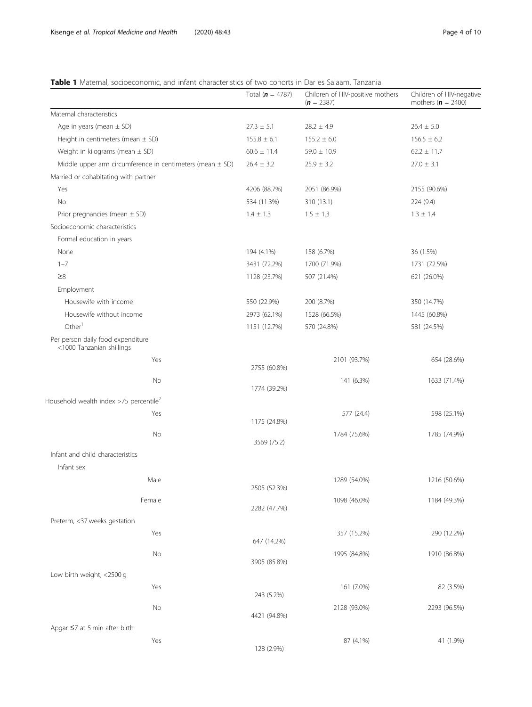## <span id="page-3-0"></span>Table 1 Maternal, socioeconomic, and infant characteristics of two cohorts in Dar es Salaam, Tanzania

|                                                                | Total $(n = 4787)$ | Children of HIV-positive mothers<br>$(n = 2387)$ | Children of HIV-negative<br>mothers ( $n = 2400$ ) |
|----------------------------------------------------------------|--------------------|--------------------------------------------------|----------------------------------------------------|
| Maternal characteristics                                       |                    |                                                  |                                                    |
| Age in years (mean $\pm$ SD)                                   | $27.3 \pm 5.1$     | $28.2 \pm 4.9$                                   | $26.4 \pm 5.0$                                     |
| Height in centimeters (mean $\pm$ SD)                          | $155.8 \pm 6.1$    | $155.2 \pm 6.0$                                  | $156.5 \pm 6.2$                                    |
| Weight in kilograms (mean $\pm$ SD)                            | $60.6 \pm 11.4$    | $59.0 \pm 10.9$                                  | $62.2 \pm 11.7$                                    |
| Middle upper arm circumference in centimeters (mean $\pm$ SD)  | $26.4 \pm 3.2$     | $25.9 \pm 3.2$                                   | $27.0 \pm 3.1$                                     |
| Married or cohabitating with partner                           |                    |                                                  |                                                    |
| Yes                                                            | 4206 (88.7%)       | 2051 (86.9%)                                     | 2155 (90.6%)                                       |
| No                                                             | 534 (11.3%)        | 310 (13.1)                                       | 224 (9.4)                                          |
| Prior pregnancies (mean $\pm$ SD)                              | $1.4 \pm 1.3$      | $1.5 \pm 1.3$                                    | $1.3 \pm 1.4$                                      |
| Socioeconomic characteristics                                  |                    |                                                  |                                                    |
| Formal education in years                                      |                    |                                                  |                                                    |
| None                                                           | 194 (4.1%)         | 158 (6.7%)                                       | 36 (1.5%)                                          |
| $1 - 7$                                                        | 3431 (72.2%)       | 1700 (71.9%)                                     | 1731 (72.5%)                                       |
| $\geq 8$                                                       | 1128 (23.7%)       | 507 (21.4%)                                      | 621 (26.0%)                                        |
| Employment                                                     |                    |                                                  |                                                    |
| Housewife with income                                          | 550 (22.9%)        | 200 (8.7%)                                       | 350 (14.7%)                                        |
| Housewife without income                                       | 2973 (62.1%)       | 1528 (66.5%)                                     | 1445 (60.8%)                                       |
| Other <sup>1</sup>                                             | 1151 (12.7%)       | 570 (24.8%)                                      | 581 (24.5%)                                        |
| Per person daily food expenditure<br><1000 Tanzanian shillings |                    |                                                  |                                                    |
| Yes                                                            |                    | 2101 (93.7%)                                     | 654 (28.6%)                                        |
|                                                                | 2755 (60.8%)       |                                                  |                                                    |
| No                                                             | 1774 (39.2%)       | 141 (6.3%)                                       | 1633 (71.4%)                                       |
| Household wealth index >75 percentile <sup>2</sup>             |                    |                                                  |                                                    |
| Yes                                                            |                    | 577 (24.4)                                       | 598 (25.1%)                                        |
|                                                                | 1175 (24.8%)       |                                                  |                                                    |
| No                                                             | 3569 (75.2)        | 1784 (75.6%)                                     | 1785 (74.9%)                                       |
| Infant and child characteristics                               |                    |                                                  |                                                    |
| Infant sex                                                     |                    |                                                  |                                                    |
| Male                                                           | 2505 (52.3%)       | 1289 (54.0%)                                     | 1216 (50.6%)                                       |
| Female                                                         | 2282 (47.7%)       | 1098 (46.0%)                                     | 1184 (49.3%)                                       |
| Preterm, <37 weeks gestation                                   |                    |                                                  |                                                    |
| Yes                                                            | 647 (14.2%)        | 357 (15.2%)                                      | 290 (12.2%)                                        |
| No                                                             | 3905 (85.8%)       | 1995 (84.8%)                                     | 1910 (86.8%)                                       |
| Low birth weight, <2500 g                                      |                    |                                                  |                                                    |
| Yes                                                            |                    | 161 (7.0%)                                       | 82 (3.5%)                                          |
|                                                                | 243 (5.2%)         |                                                  |                                                    |
| No                                                             | 4421 (94.8%)       | 2128 (93.0%)                                     | 2293 (96.5%)                                       |
| Apgar $\leq$ 7 at 5 min after birth                            |                    |                                                  |                                                    |
| Yes                                                            |                    | 87 (4.1%)                                        | 41 (1.9%)                                          |
|                                                                | 128 (2.9%)         |                                                  |                                                    |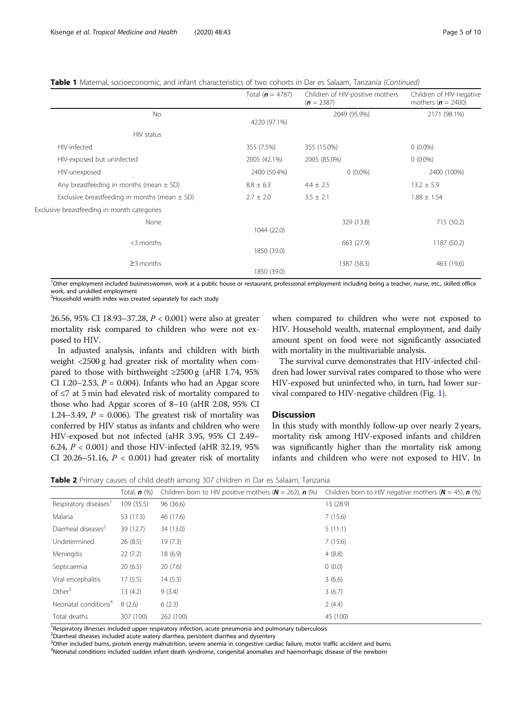<span id="page-4-0"></span>Table 1 Maternal, socioeconomic, and infant characteristics of two cohorts in Dar es Salaam, Tanzania (Continued)

|                                                   | Total ( $n = 4787$ ) | Children of HIV-positive mothers<br>$(n = 2387)$ | Children of HIV-negative<br>mothers ( $\mathbf{n} = 2400$ ) |
|---------------------------------------------------|----------------------|--------------------------------------------------|-------------------------------------------------------------|
| <b>No</b>                                         | 4220 (97.1%)         | 2049 (95.9%)                                     | 2171 (98.1%)                                                |
| HIV status                                        |                      |                                                  |                                                             |
| HIV-infected                                      | 355 (7.5%)           | 355 (15.0%)                                      | $0(0.0\%)$                                                  |
| HIV-exposed but uninfected                        | 2005 (42.1%)         | 2005 (85.0%)                                     | $0(0.0\%)$                                                  |
| HIV-unexposed                                     | 2400 (50.4%)         | $0(0.0\%)$                                       | 2400 (100%)                                                 |
| Any breastfeeding in months (mean $\pm$ SD)       | $8.8 \pm 6.3$        | $4.4 \pm 2.5$                                    | $13.2 \pm 5.9$                                              |
| Exclusive breastfeeding in months (mean $\pm$ SD) | $2.7 \pm 2.0$        | $3.5 \pm 2.1$                                    | $1.88 \pm 1.54$                                             |
| Exclusive breastfeeding in month categories       |                      |                                                  |                                                             |
| None                                              | 1044 (22.0)          | 329 (13.8)                                       | 715 (30.2)                                                  |
| $<$ 3 months                                      | 1850 (39.0)          | 663 (27.9)                                       | 1187 (50.2)                                                 |
| $\geq$ 3 months                                   | 1850 (39.0)          | 1387 (58.3)                                      | 463 (19.6)                                                  |

<sup>1</sup>Other employment included businesswomen, work at a public house or restaurant, professional employment including being a teacher, nurse, etc., skilled office work, and unskilled employment

<sup>2</sup>Household wealth index was created separately for each study

26.56, 95% CI 18.93–37.28, P < 0.001) were also at greater mortality risk compared to children who were not exposed to HIV.

In adjusted analysis, infants and children with birth weight <2500 g had greater risk of mortality when compared to those with birthweight  $\geq$ 2500 g (aHR 1.74, 95%) CI 1.20–2.53,  $P = 0.004$ ). Infants who had an Apgar score of ≤7 at 5 min had elevated risk of mortality compared to those who had Apgar scores of 8–10 (aHR 2.08, 95% CI 1.24–3.49,  $P = 0.006$ ). The greatest risk of mortality was conferred by HIV status as infants and children who were HIV-exposed but not infected (aHR 3.95, 95% CI 2.49– 6.24, P < 0.001) and those HIV-infected (aHR 32.19, 95% CI 20.26-51.16,  $P < 0.001$ ) had greater risk of mortality

when compared to children who were not exposed to HIV. Household wealth, maternal employment, and daily amount spent on food were not significantly associated with mortality in the multivariable analysis.

The survival curve demonstrates that HIV-infected children had lower survival rates compared to those who were HIV-exposed but uninfected who, in turn, had lower survival compared to HIV-negative children (Fig. [1](#page-6-0)).

#### **Discussion**

In this study with monthly follow-up over nearly 2 years, mortality risk among HIV-exposed infants and children was significantly higher than the mortality risk among infants and children who were not exposed to HIV. In

Table 2 Primary causes of child death among 307 children in Dar es Salaam, Tanzania

|                                   | Total, $n$ $%$ | Children born to HIV positive mothers ( $N = 262$ ), n (%) | Children born to HIV negative mothers ( $N = 45$ ), n (%) |
|-----------------------------------|----------------|------------------------------------------------------------|-----------------------------------------------------------|
| Respiratory diseases <sup>1</sup> | 109(35.5)      | 96 (36.6)                                                  | 13 (28.9)                                                 |
| Malaria                           | 53 (17.3)      | 46 (17.6)                                                  | 7(15.6)                                                   |
| Diarrheal diseases <sup>2</sup>   | 39 (12.7)      | 34 (13.0)                                                  | 5(11.1)                                                   |
| Undetermined                      | 26(8.5)        | 19(7.3)                                                    | 7(15.6)                                                   |
| Meningitis                        | 22(7.2)        | 18(6.9)                                                    | 4(8.8)                                                    |
| Septicaemia                       | 20(6.5)        | 20(7.6)                                                    | 0(0.0)                                                    |
| Viral encephalitis                | 17(5.5)        | 14(5.3)                                                    | 3(6.6)                                                    |
| Other $3$                         | 13(4.2)        | 9(3.4)                                                     | 3(6.7)                                                    |
| Neonatal conditions <sup>4</sup>  | 8(2.6)         | 6(2.3)                                                     | 2(4.4)                                                    |
| Total deaths                      | 307 (100)      | 262 (100)                                                  | 45 (100)                                                  |

<sup>1</sup> Respiratory illnesses included upper respiratory infection, acute pneumonia and pulmonary tuberculosis

<sup>2</sup>Diarrheal diseases included acute watery diarrhea, persistent diarrhea and dysentery

<sup>3</sup>Other included burns, protein energy malnutrition, severe anemia in congestive cardiac failure, motor traffic accident and burns

4 Neonatal conditions included sudden infant death syndrome, congenital anomalies and haemorrhagic disease of the newborn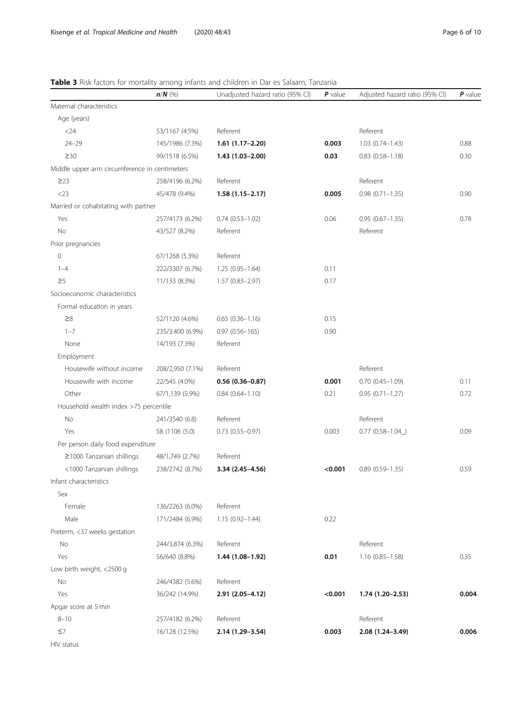## <span id="page-5-0"></span>Table 3 Risk factors for mortality among infants and children in Dar es Salaam, Tanzania

|                                               | $n/N$ (%)        | Unadjusted hazard ratio (95% CI) | $P$ value | Adjusted hazard ratio (95% CI) | $P$ value |
|-----------------------------------------------|------------------|----------------------------------|-----------|--------------------------------|-----------|
| Maternal characteristics                      |                  |                                  |           |                                |           |
| Age (years)                                   |                  |                                  |           |                                |           |
| $<$ 24                                        | 53/1167 (4.5%)   | Referent                         |           | Referent                       |           |
| $24 - 29$                                     | 145/1986 (7.3%)  | $1.61(1.17-2.20)$                | 0.003     | $1.03(0.74 - 1.43)$            | 0.88      |
| $\geq 30$                                     | 99/1518 (6.5%)   | $1.43(1.03 - 2.00)$              | 0.03      | $0.83(0.58 - 1.18)$            | 0.30      |
| Middle upper arm circumference in centimeters |                  |                                  |           |                                |           |
| $\geq$ 23                                     | 258/4196 (6.2%)  | Referent                         |           | Referent                       |           |
| $<$ 23                                        | 45/478 (9.4%)    | $1.58(1.15 - 2.17)$              | 0.005     | $0.98(0.71 - 1.35)$            | 0.90      |
| Married or cohabitating with partner          |                  |                                  |           |                                |           |
| Yes                                           | 257/4173 (6.2%)  | $0.74(0.53 - 1.02)$              | 0.06      | $0.95(0.67 - 1.35)$            | 0.78      |
| No                                            | 43/527 (8.2%)    | Referent                         |           | Referent                       |           |
| Prior pregnancies                             |                  |                                  |           |                                |           |
| $\mathbf 0$                                   | 67/1268 (5.3%)   | Referent                         |           |                                |           |
| $1 - 4$                                       | 222/3307 (6.7%)  | $1.25(0.95 - 1.64)$              | 0.11      |                                |           |
| $\geq 5$                                      | 11/133 (8.3%)    | $1.57(0.83 - 2.97)$              | 0.17      |                                |           |
| Socioeconomic characteristics                 |                  |                                  |           |                                |           |
| Formal education in years                     |                  |                                  |           |                                |           |
| $\geq 8$                                      | 52/1120 (4.6%)   | $0.65(0.36 - 1.16)$              | 0.15      |                                |           |
| $1 - 7$                                       | 235/3.400 (6.9%) | $0.97(0.56 - 165)$               | 0.90      |                                |           |
| None                                          | 14/193 (7.3%)    | Referent                         |           |                                |           |
| Employment                                    |                  |                                  |           |                                |           |
| Housewife without income                      | 208/2,950 (7.1%) | Referent                         |           | Referent                       |           |
| Housewife with income                         | 22/545 (4.0%)    | $0.56(0.36 - 0.87)$              | 0.001     | $0.70(0.45 - 1.09)$            | 0.11      |
| Other                                         | 67/1,139 (5.9%)  | $0.84(0.64 - 1.10)$              | 0.21      | $0.95(0.71 - 1.27)$            | 0.72      |
| Household wealth index >75 percentile         |                  |                                  |           |                                |           |
| No                                            | 241/3540 (6.8)   | Referent                         |           | Referent                       |           |
| Yes                                           | 58 (1106 (5.0)   | $0.73(0.55 - 0.97)$              | 0.003     | $0.77$ $(0.58 - 1.04)$         | 0.09      |
| Per person daily food expenditure             |                  |                                  |           |                                |           |
| ≥1000 Tanzanian shillings                     | 48/1,749 (2.7%)  | Referent                         |           |                                |           |
| <1000 Tanzanian shillings                     | 238/2742 (8.7%)  | 3.34 (2.45-4.56)                 | < 0.001   | $0.89(0.59 - 1.35)$            | 0.59      |
| Infant characteristics                        |                  |                                  |           |                                |           |
| Sex                                           |                  |                                  |           |                                |           |
| Female                                        | 136/2263 (6.0%)  | Referent                         |           |                                |           |
| Male                                          | 171/2484 (6.9%)  | $1.15(0.92 - 1.44)$              | 0.22      |                                |           |
| Preterm, <37 weeks gestation                  |                  |                                  |           |                                |           |
| No                                            | 244/3,874 (6.3%) | Referent                         |           | Referent                       |           |
| Yes                                           | 56/640 (8.8%)    | 1.44 (1.08-1.92)                 | 0.01      | $1.16(0.85 - 1.58)$            | 0.35      |
| Low birth weight, <2500 g                     |                  |                                  |           |                                |           |
| No                                            | 246/4382 (5.6%)  | Referent                         |           |                                |           |
| Yes                                           | 36/242 (14.9%)   | 2.91 (2.05-4.12)                 | < 0.001   | 1.74 (1.20-2.53)               | 0.004     |
| Apgar score at 5 min                          |                  |                                  |           |                                |           |
| $8 - 10$                                      | 257/4182 (6.2%)  | Referent                         |           | Referent                       |           |
| $\leq$ 7                                      | 16/128 (12.5%)   | 2.14 (1.29-3.54)                 | 0.003     | 2.08 (1.24-3.49)               | 0.006     |
| HIV status                                    |                  |                                  |           |                                |           |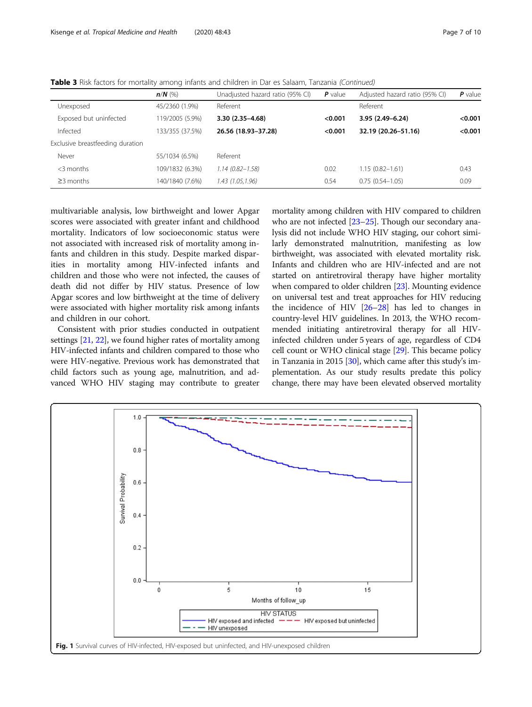<span id="page-6-0"></span>

| Table 3 Risk factors for mortality among infants and children in Dar es Salaam, Tanzania (Continued) |  |
|------------------------------------------------------------------------------------------------------|--|
|------------------------------------------------------------------------------------------------------|--|

|                                  | $n/N$ (%)       | Unadjusted hazard ratio (95% CI) | $P$ value | Adjusted hazard ratio (95% CI) | $P$ value |
|----------------------------------|-----------------|----------------------------------|-----------|--------------------------------|-----------|
| Unexposed                        | 45/2360 (1.9%)  | Referent                         |           | Referent                       |           |
| Exposed but uninfected           | 119/2005 (5.9%) | 3.30 (2.35-4.68)                 | < 0.001   | 3.95 (2.49-6.24)               | < 0.001   |
| Infected                         | 133/355 (37.5%) | 26.56 (18.93-37.28)              | < 0.001   | 32.19 (20.26-51.16)            | < 0.001   |
| Exclusive breastfeeding duration |                 |                                  |           |                                |           |
| Never                            | 55/1034 (6.5%)  | Referent                         |           |                                |           |
| $<$ 3 months                     | 109/1832 (6.3%) | $1.14(0.82 - 1.58)$              | 0.02      | $1.15(0.82 - 1.61)$            | 0.43      |
| $\geq$ 3 months                  | 140/1840 (7.6%) | 1.43 (1.05,1.96)                 | 0.54      | $0.75(0.54 - 1.05)$            | 0.09      |
|                                  |                 |                                  |           |                                |           |

multivariable analysis, low birthweight and lower Apgar scores were associated with greater infant and childhood mortality. Indicators of low socioeconomic status were not associated with increased risk of mortality among infants and children in this study. Despite marked disparities in mortality among HIV-infected infants and children and those who were not infected, the causes of death did not differ by HIV status. Presence of low Apgar scores and low birthweight at the time of delivery were associated with higher mortality risk among infants and children in our cohort.

Consistent with prior studies conducted in outpatient settings [[21](#page-8-0), [22\]](#page-8-0), we found higher rates of mortality among HIV-infected infants and children compared to those who were HIV-negative. Previous work has demonstrated that child factors such as young age, malnutrition, and advanced WHO HIV staging may contribute to greater mortality among children with HIV compared to children who are not infected [[23](#page-8-0)–[25\]](#page-8-0). Though our secondary analysis did not include WHO HIV staging, our cohort similarly demonstrated malnutrition, manifesting as low birthweight, was associated with elevated mortality risk. Infants and children who are HIV-infected and are not started on antiretroviral therapy have higher mortality when compared to older children [[23](#page-8-0)]. Mounting evidence on universal test and treat approaches for HIV reducing the incidence of HIV [[26](#page-8-0)–[28\]](#page-8-0) has led to changes in country-level HIV guidelines. In 2013, the WHO recommended initiating antiretroviral therapy for all HIVinfected children under 5 years of age, regardless of CD4 cell count or WHO clinical stage [\[29\]](#page-8-0). This became policy in Tanzania in 2015 [[30](#page-8-0)], which came after this study's implementation. As our study results predate this policy change, there may have been elevated observed mortality

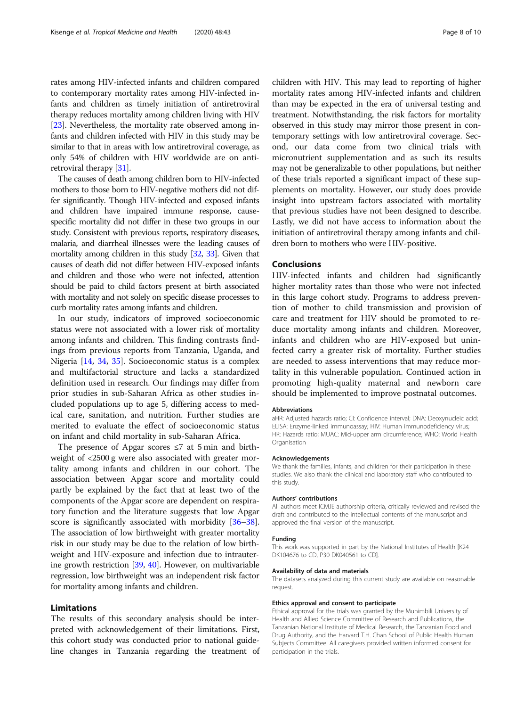rates among HIV-infected infants and children compared to contemporary mortality rates among HIV-infected infants and children as timely initiation of antiretroviral therapy reduces mortality among children living with HIV [[23](#page-8-0)]. Nevertheless, the mortality rate observed among infants and children infected with HIV in this study may be similar to that in areas with low antiretroviral coverage, as only 54% of children with HIV worldwide are on antiretroviral therapy [[31\]](#page-8-0).

The causes of death among children born to HIV-infected mothers to those born to HIV-negative mothers did not differ significantly. Though HIV-infected and exposed infants and children have impaired immune response, causespecific mortality did not differ in these two groups in our study. Consistent with previous reports, respiratory diseases, malaria, and diarrheal illnesses were the leading causes of mortality among children in this study [\[32,](#page-8-0) [33](#page-8-0)]. Given that causes of death did not differ between HIV-exposed infants and children and those who were not infected, attention should be paid to child factors present at birth associated with mortality and not solely on specific disease processes to curb mortality rates among infants and children.

In our study, indicators of improved socioeconomic status were not associated with a lower risk of mortality among infants and children. This finding contrasts findings from previous reports from Tanzania, Uganda, and Nigeria [\[14](#page-8-0), [34](#page-8-0), [35](#page-8-0)]. Socioeconomic status is a complex and multifactorial structure and lacks a standardized definition used in research. Our findings may differ from prior studies in sub-Saharan Africa as other studies included populations up to age 5, differing access to medical care, sanitation, and nutrition. Further studies are merited to evaluate the effect of socioeconomic status on infant and child mortality in sub-Saharan Africa.

The presence of Apgar scores  $\leq$  7 at 5 min and birthweight of <2500 g were also associated with greater mortality among infants and children in our cohort. The association between Apgar score and mortality could partly be explained by the fact that at least two of the components of the Apgar score are dependent on respiratory function and the literature suggests that low Apgar score is significantly associated with morbidity [\[36](#page-9-0)–[38](#page-9-0)]. The association of low birthweight with greater mortality risk in our study may be due to the relation of low birthweight and HIV-exposure and infection due to intrauterine growth restriction [[39](#page-9-0), [40](#page-9-0)]. However, on multivariable regression, low birthweight was an independent risk factor for mortality among infants and children.

#### Limitations

The results of this secondary analysis should be interpreted with acknowledgement of their limitations. First, this cohort study was conducted prior to national guideline changes in Tanzania regarding the treatment of

children with HIV. This may lead to reporting of higher mortality rates among HIV-infected infants and children than may be expected in the era of universal testing and treatment. Notwithstanding, the risk factors for mortality observed in this study may mirror those present in contemporary settings with low antiretroviral coverage. Second, our data come from two clinical trials with micronutrient supplementation and as such its results may not be generalizable to other populations, but neither of these trials reported a significant impact of these supplements on mortality. However, our study does provide insight into upstream factors associated with mortality that previous studies have not been designed to describe. Lastly, we did not have access to information about the initiation of antiretroviral therapy among infants and children born to mothers who were HIV-positive.

### Conclusions

HIV-infected infants and children had significantly higher mortality rates than those who were not infected in this large cohort study. Programs to address prevention of mother to child transmission and provision of care and treatment for HIV should be promoted to reduce mortality among infants and children. Moreover, infants and children who are HIV-exposed but uninfected carry a greater risk of mortality. Further studies are needed to assess interventions that may reduce mortality in this vulnerable population. Continued action in promoting high-quality maternal and newborn care should be implemented to improve postnatal outcomes.

#### Abbreviations

aHR: Adjusted hazards ratio; CI: Confidence interval; DNA: Deoxynucleic acid; ELISA: Enzyme-linked immunoassay; HIV: Human immunodeficiency virus; HR: Hazards ratio; MUAC: Mid-upper arm circumference; WHO: World Health Organisation

#### Acknowledgements

We thank the families, infants, and children for their participation in these studies. We also thank the clinical and laboratory staff who contributed to this study.

#### Authors' contributions

All authors meet ICMJE authorship criteria, critically reviewed and revised the draft and contributed to the intellectual contents of the manuscript and approved the final version of the manuscript.

#### Funding

This work was supported in part by the National Institutes of Health [K24 DK104676 to CD, P30 DK040561 to CD].

#### Availability of data and materials

The datasets analyzed during this current study are available on reasonable request.

#### Ethics approval and consent to participate

Ethical approval for the trials was granted by the Muhimbili University of Health and Allied Science Committee of Research and Publications, the Tanzanian National Institute of Medical Research, the Tanzanian Food and Drug Authority, and the Harvard T.H. Chan School of Public Health Human Subjects Committee. All caregivers provided written informed consent for participation in the trials.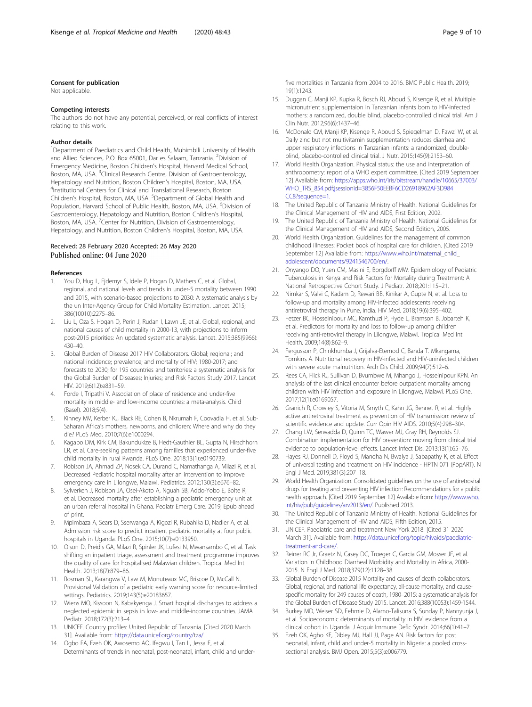#### <span id="page-8-0"></span>Consent for publication

Not applicable.

#### Competing interests

The authors do not have any potential, perceived, or real conflicts of interest relating to this work.

#### Author details

<sup>1</sup>Department of Paediatrics and Child Health, Muhimbili University of Health and Allied Sciences, P.O. Box 65001, Dar es Salaam, Tanzania. <sup>2</sup>Division of Emergency Medicine, Boston Children's Hospital, Harvard Medical School, Boston, MA, USA. <sup>3</sup>Clinical Research Centre, Division of Gastroenterology, Hepatology and Nutrition, Boston Children's Hospital, Boston, MA, USA. <sup>4</sup> <sup>4</sup>Institutional Centers for Clinical and Translational Research, Boston Children's Hospital, Boston, MA, USA. <sup>5</sup>Department of Global Health and Population, Harvard School of Public Health, Boston, MA, USA. <sup>6</sup>Division of Gastroenterology, Hepatology and Nutrition, Boston Children's Hospital, Boston, MA, USA.<sup>7</sup> Center for Nutrition, Division of Gastroenterology, Hepatology, and Nutrition, Boston Children's Hospital, Boston, MA, USA.

#### Received: 28 February 2020 Accepted: 26 May 2020 Published online: 04 June 2020

#### References

- You D, Hug L, Ejdemyr S, Idele P, Hogan D, Mathers C, et al. Global, regional, and national levels and trends in under-5 mortality between 1990 and 2015, with scenario-based projections to 2030: A systematic analysis by the un Inter-Agency Group for Child Mortality Estimation. Lancet. 2015; 386(10010):2275–86.
- 2. Liu L, Oza S, Hogan D, Perin J, Rudan I, Lawn JE, et al. Global, regional, and national causes of child mortality in 2000-13, with projections to inform post-2015 priorities: An updated systematic analysis. Lancet. 2015;385(9966): 430–40.
- 3. Global Burden of Disease 2017 HIV Collaborators. Global; regional; and national incidence; prevalence; and mortality of HIV; 1980-2017; and forecasts to 2030; for 195 countries and territories: a systematic analysis for the Global Burden of Diseases; Injuries; and Risk Factors Study 2017. Lancet HIV. 2019;6(12):e831–59.
- 4. Forde I, Tripathi V. Association of place of residence and under-five mortality in middle- and low-income countries: a meta-analysis. Child (Basel). 2018;5(4).
- 5. Kinney MV, Kerber KJ, Black RE, Cohen B, Nkrumah F, Coovadia H, et al. Sub-Saharan Africa's mothers, newborns, and children: Where and why do they die? PLoS Med. 2010;7(6):e1000294.
- 6. Kagabo DM, Kirk CM, Bakundukize B, Hedt-Gauthier BL, Gupta N, Hirschhorn LR, et al. Care-seeking patterns among families that experienced under-five child mortality in rural Rwanda. PLoS One. 2018;13(1):e0190739.
- 7. Robison JA, Ahmad ZP, Nosek CA, Durand C, Namathanga A, Milazi R, et al. Decreased Pediatric hospital mortality after an intervention to improve emergency care in Lilongwe, Malawi. Pediatrics. 2012;130(3):e676–82.
- 8. Sylverken J, Robison JA, Osei-Akoto A, Nguah SB, Addo-Yobo E, Bolte R, et al. Decreased mortality after establishing a pediatric emergency unit at an urban referral hospital in Ghana. Pediatr Emerg Care. 2019; Epub ahead of print.
- 9. Mpimbaza A, Sears D, Sserwanga A, Kigozi R, Rubahika D, Nadler A, et al. Admission risk score to predict inpatient pediatric mortality at four public hospitals in Uganda. PLoS One. 2015;10(7):e0133950.
- 10. Olson D, Preidis GA, Milazi R, Spinler JK, Lufesi N, Mwansambo C, et al. Task shifting an inpatient triage, assessment and treatment programme improves the quality of care for hospitalised Malawian children. Tropical Med Int Health. 2013;18(7):879–86.
- 11. Rosman SL, Karangwa V, Law M, Monuteaux MC, Briscoe D, McCall N. Provisional Validation of a pediatric early warning score for resource-limited settings. Pediatrics. 2019;143(5):e20183657.
- 12. Wiens MO, Kissoon N, Kabakyenga J. Smart hospital discharges to address a neglected epidemic in sepsis in low- and middle-income countries. JAMA Pediatr. 2018;172(3):213–4.
- 13. UNICEF. Country profiles: United Republic of Tanzania. [Cited 2020 March 31]. Available from: [https://data.unicef.org/country/tza/.](https://data.unicef.org/country/tza/)
- 14. Ogbo FA, Ezeh OK, Awosemo AO, Ifegwu I, Tan L, Jessa E, et al. Determinants of trends in neonatal, post-neonatal, infant, child and under-

five mortalities in Tanzania from 2004 to 2016. BMC Public Health. 2019; 19(1):1243.

- 15. Duggan C, Manji KP, Kupka R, Bosch RJ, Aboud S, Kisenge R, et al. Multiple micronutrient supplementaion in Tanzanian infants born to HIV-infected mothers: a randomized, double blind, placebo-controlled clinical trial. Am J Clin Nutr. 2012;96(6):1437–46.
- 16. McDonald CM, Manji KP, Kisenge R, Aboud S, Spiegelman D, Fawzi W, et al. Daily zinc but not multivitamin supplementation reduces diarrhea and upper respiratory infections in Tanzanian infants: a randomized, doubleblind, placebo-controlled clinical trial. J Nutr. 2015;145(9):2153–60.
- 17. World Health Organization. Physical status: the use and interpretation of anthropometry: report of a WHO expert committee. [Cited 2019 September 12] Available from: [https://apps.who.int/iris/bitstream/handle/10665/37003/](https://apps.who.int/iris/bitstream/handle/10665/37003/WHO_TRS_854.pdf;jsessionid=3856F50EEBF6CD26918962AF3D984CC8?sequence=1) [WHO\\_TRS\\_854.pdf;jsessionid=3856F50EEBF6CD26918962AF3D984](https://apps.who.int/iris/bitstream/handle/10665/37003/WHO_TRS_854.pdf;jsessionid=3856F50EEBF6CD26918962AF3D984CC8?sequence=1) [CC8?sequence=1.](https://apps.who.int/iris/bitstream/handle/10665/37003/WHO_TRS_854.pdf;jsessionid=3856F50EEBF6CD26918962AF3D984CC8?sequence=1)
- 18. The United Republic of Tanzania Ministry of Health. National Guidelines for the Clinical Management of HIV and AIDS, First Edition, 2002.
- 19. The United Republic of Tanzania Ministry of Health. National Guidelines for the Clinical Management of HIV and AIDS, Second Edition, 2005.
- 20. World Health Organization. Guidelines for the management of common childhood illnesses: Pocket book of hospital care for children. [Cited 2019 September 12] Available from: [https://www.who.int/maternal\\_child\\_](https://www.who.int/maternal_child_adolescent/documents/9241546700/en/) [adolescent/documents/9241546700/en/.](https://www.who.int/maternal_child_adolescent/documents/9241546700/en/)
- 21. Onyango DO, Yuen CM, Masini E, Borgdorff MW. Epidemiology of Pediatric Tuberculosis in Kenya and Risk Factors for Mortality during Treatment: A National Retrospective Cohort Study. J Pediatr. 2018;201:115–21.
- 22. Nimkar S, Valvi C, Kadam D, Rewari BB, Kinikar A, Gupte N, et al. Loss to follow-up and mortality among HIV-infected adolescents receiving antiretroviral therapy in Pune, India. HIV Med. 2018;19(6):395–402.
- 23. Fetzer BC, Hosseinipour MC, Kamthuzi P, Hyde L, Bramson B, Jobarteh K, et al. Predictors for mortality and loss to follow-up among children receiving anti-retroviral therapy in Lilongwe, Malawi. Tropical Med Int Health. 2009;14(8):862–9.
- 24. Fergusson P, Chinkhumba J, Grijalva-Eternod C, Banda T. Mkangama, Tomkins A. Nutritional recovery in HIV-infected and HIV-uninfected children with severe acute malnutrition. Arch Dis Child. 2009;94(7):512–6.
- 25. Rees CA, Flick RJ, Sullivan D, Bvumbwe M, Mhango J, Hosseinipour KPN. An analysis of the last clinical encounter before outpatient mortality among children with HIV infection and exposure in Lilongwe, Malawi. PLoS One. 2017;12(1):e0169057.
- 26. Granich R, Crowley S, Vitoria M, Smyth C, Kahn JG, Bennet R, et al. Highly active antiretroviral treatment as prevention of HIV transmission: review of scientific evidence and update. Curr Opin HIV AIDS. 2010;5(4):298–304.
- 27. Chang LW, Serwadda D, Quinn TC, Wawer MJ, Gray RH, Reynolds SJ. Combination implementation for HIV prevention: moving from clinical trial evidence to population-level effects. Lancet Infect Dis. 2013;13(1):65–76.
- 28. Hayes RJ, Donnell D, Floyd S, Mandha N, Bwalya J, Sabapathy K, et al. Effect of universal testing and treatment on HIV incidence - HPTN 071 (PopART). N Engl J Med. 2019;381(3):207–18.
- 29. World Health Organization. Consolidated guidelines on the use of antiretroviral drugs for treating and preventing HIV infection: Recommendations for a public health approach. [Cited 2019 September 12] Available from: [https://www.who.](https://www.who.int/hiv/pub/guidelines/arv2013/en/) [int/hiv/pub/guidelines/arv2013/en/](https://www.who.int/hiv/pub/guidelines/arv2013/en/). Published 2013.
- 30. The United Republic of Tanzania Ministry of Health. National Guidelines for the Clinical Management of HIV and AIDS, Fifth Edition, 2015.
- 31. UNICEF. Paediatric care and treatment New York 2018. [Cited 31 2020 March 31]. Available from: [https://data.unicef.org/topic/hivaids/paediatric](https://data.unicef.org/topic/hivaids/paediatric-treatment-and-care/)[treatment-and-care/](https://data.unicef.org/topic/hivaids/paediatric-treatment-and-care/).
- 32. Reiner RC Jr, Graetz N, Casey DC, Troeger C, Garcia GM, Mosser JF, et al. Variation in Childhood Diarrheal Morbidity and Mortality in Africa, 2000- 2015. N Engl J Med. 2018;379(12):1128–38.
- 33. Global Burden of Disease 2015 Mortality and causes of death collaborators. Global, regional, and national life expectancy, all-cause mortality, and causespecific mortality for 249 causes of death, 1980–2015: a systematic analysis for the Global Burden of Disease Study 2015. Lancet. 2016;388(10053):1459-1544.
- 34. Burkey MD, Weiser SD, Fehmie D, Alamo-Talisuna S, Sunday P, Nannyunja J, et al. Socioeconomic determinants of mortality in HIV: evidence from a clinical cohort in Uganda. J Acquir Immune Defic Syndr. 2014;66(1):41–7.
- 35. Ezeh OK, Agho KE, Dibley MJ, Hall JJ, Page AN. Risk factors for post neonatal, infant, child and under-5 mortality in Nigeria: a pooled crosssectional analysis. BMJ Open. 2015;5(3):e006779.